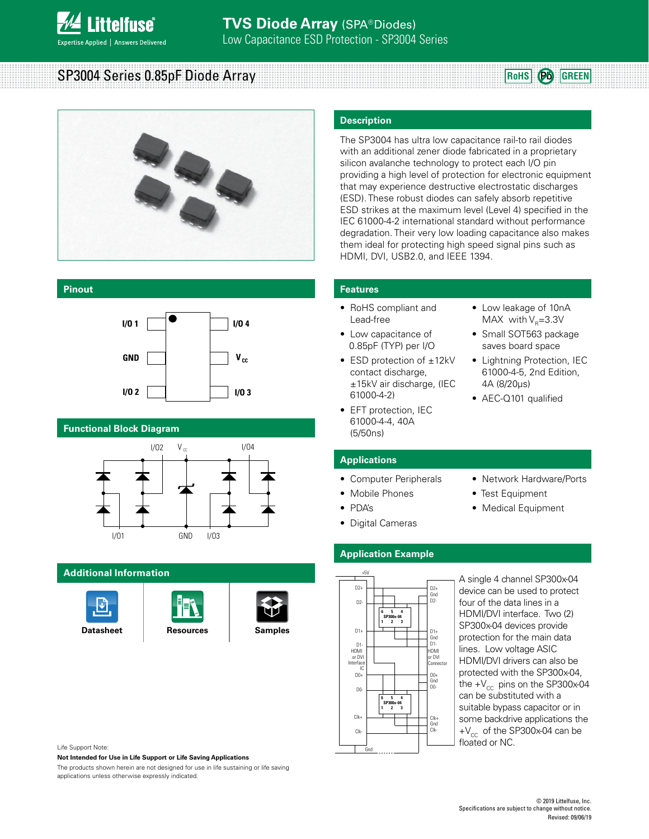

SP3004 Series 0.85pF Diode Array

# **RoHS Pb GREEN**



#### **Pinout**



#### **Functional Block Diagram**



#### **Additional Information**







#### **Description**

The SP3004 has ultra low capacitance rail-to rail diodes with an additional zener diode fabricated in a proprietary silicon avalanche technology to protect each I/O pin providing a high level of protection for electronic equipment that may experience destructive electrostatic discharges (ESD). These robust diodes can safely absorb repetitive ESD strikes at the maximum level (Level 4) specified in the IEC 61000-4-2 international standard without performance degradation. Their very low loading capacitance also makes them ideal for protecting high speed signal pins such as HDMI, DVI, USB2.0, and IEEE 1394.

#### **Features**

- RoHS compliant and Lead-free
- Low capacitance of 0.85pF (TYP) per I/O
- ESD protection of ±12kV contact discharge, ±15kV air discharge, (IEC 61000-4-2)
- EFT protection, IEC 61000-4-4, 40A (5/50ns)
- Low leakage of 10nA MAX with  $V<sub>R</sub>=3.3V$
- Small SOT563 package saves board space
- Lightning Protection, IEC 61000-4-5, 2nd Edition, 4A (8/20µs)
- AEC-Q101 qualified

#### **Applications**

- Computer Peripherals
- Mobile Phones
- PDA's
- Digital Cameras
- Network Hardware/Ports
- Test Equipment
- Medical Equipment

## **Application Example**



A single 4 channel SP300x-04 device can be used to protect four of the data lines in a HDMI/DVI interface. Two (2) SP300x-04 devices provide protection for the main data lines. Low voltage ASIC HDMI/DVI drivers can also be protected with the SP300x-04, the  $+V_{cc}$  pins on the SP300x-04 can be substituted with a suitable bypass capacitor or in some backdrive applications the  $+V_{cc}$  of the SP300x-04 can be floated or NC.

Life Support Note:

**Not Intended for Use in Life Support or Life Saving Applications**

The products shown herein are not designed for use in life sustaining or life saving applications unless otherwise expressly indicated.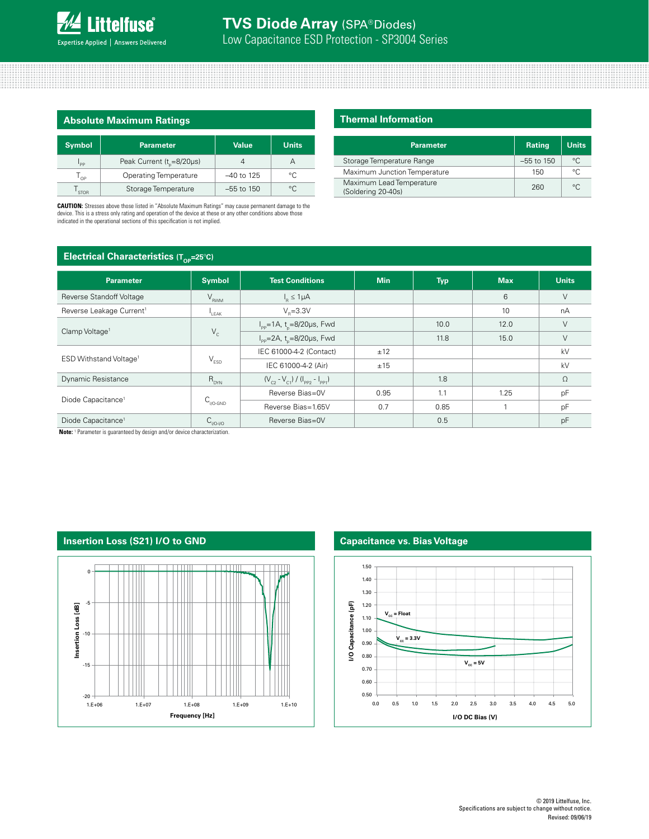| <b>Absolute Maximum Ratings</b> |                                       |              |              |  |
|---------------------------------|---------------------------------------|--------------|--------------|--|
| <b>Symbol</b>                   | <b>Parameter</b>                      | <b>Value</b> | <b>Units</b> |  |
| l <sub>pp</sub>                 | Peak Current (t <sub>r</sub> =8/20µs) |              |              |  |
| $T_{\text{OP}}$                 | Operating Temperature                 | $-40$ to 125 | $^{\circ}$   |  |
| $\mathsf{I}_{\mathsf{STOR}}$    | Storage Temperature                   | $-55$ to 150 | $^{\circ}$ C |  |

**CAUTION:** Stresses above those listed in "Absolute Maximum Ratings" may cause permanent damage to the device. This is a stress only rating and operation of the device at these or any other conditions above those indicated in the operational sections of this specification is not implied.

#### **Thermal Information**

| <b>Parameter</b>                               | <b>Rating</b> | <b>Units</b> |
|------------------------------------------------|---------------|--------------|
| Storage Temperature Range                      | $-55$ to 150  | $^{\circ}$ C |
| Maximum Junction Temperature                   | 150           | $\circ$      |
| Maximum Lead Temperature<br>(Soldering 20-40s) | 260           | $\circ$      |

### **Electrical Characteristics (Top=25°C)**

| UP.                                  |                             |                                                    |            |            |            |              |
|--------------------------------------|-----------------------------|----------------------------------------------------|------------|------------|------------|--------------|
| <b>Parameter</b>                     | <b>Symbol</b>               | <b>Test Conditions</b>                             | <b>Min</b> | <b>Typ</b> | <b>Max</b> | <b>Units</b> |
| Reverse Standoff Voltage             | $V_{RWM}$                   | $I_{\rm B} \leq 1 \mu A$                           |            |            | 6          |              |
| Reverse Leakage Current <sup>1</sup> | LEAK                        | $V_e = 3.3V$                                       |            |            | 10         | nA           |
| Clamp Voltage <sup>1</sup>           | $V_c$                       | $I_{\rm pp}$ =1A, t <sub>n</sub> =8/20µs, Fwd      |            | 10.0       | 12.0       | $\vee$       |
|                                      |                             | $I_{\text{pp}} = 2A$ , t <sub>o</sub> =8/20µs, Fwd |            | 11.8       | 15.0       | V            |
|                                      | $\mathsf{V}_{\texttt{ESD}}$ | IEC 61000-4-2 (Contact)                            | ±12        |            |            | kV           |
| ESD Withstand Voltage <sup>1</sup>   |                             | IEC 61000-4-2 (Air)                                | ±15        |            |            | kV           |
| <b>Dynamic Resistance</b>            | $R_{DYN}$                   | $(V_{c2} - V_{c1}) / (I_{pp2} - I_{pp1})$          |            | 1.8        |            | $\Omega$     |
| Diode Capacitance <sup>1</sup>       | $C_{\text{V0-GND}}$         | Reverse Bias=0V                                    | 0.95       | 1.1        | 1.25       | pF           |
|                                      |                             | Reverse Bias=1.65V                                 | 0.7        | 0.85       |            | pF           |
| Diode Capacitance <sup>1</sup>       | $C_{VO-VO}$                 | Reverse Bias=0V                                    |            | 0.5        |            | pF           |

Note: <sup>1</sup> Parameter is guaranteed by design and/or device characterization.



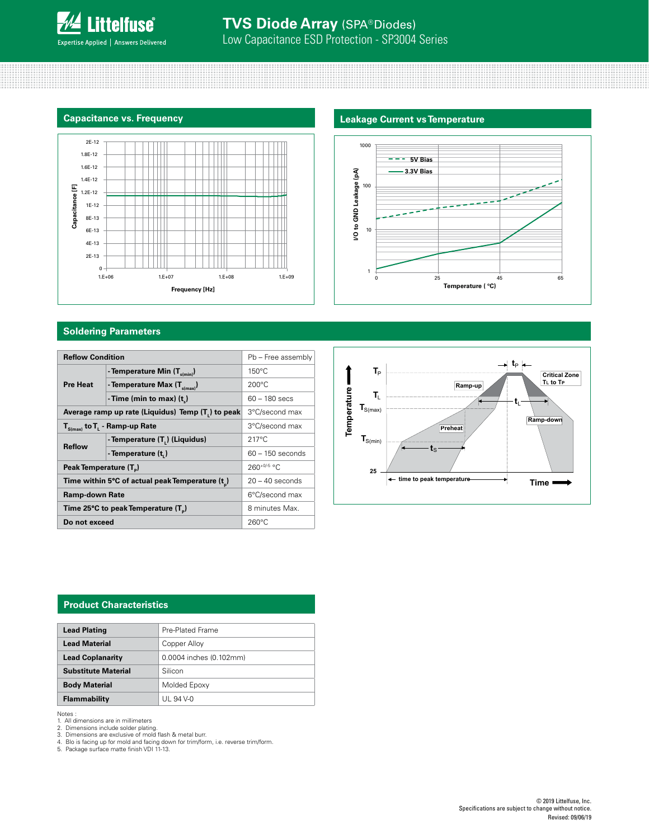



#### **Soldering Parameters**

| <b>Reflow Condition</b>                                        |                                          | Pb - Free assembly |  |
|----------------------------------------------------------------|------------------------------------------|--------------------|--|
| <b>Pre Heat</b>                                                | - Temperature Min (T <sub>s(min)</sub> ) | $150^{\circ}$ C    |  |
|                                                                | - Temperature Max $(T_{s(max)})$         | $200^{\circ}$ C    |  |
|                                                                | - Time (min to max) $(t_2)$              | $60 - 180$ secs    |  |
| Average ramp up rate (Liquidus) Temp (T <sub>1</sub> ) to peak | 3°C/second max                           |                    |  |
| $T_{S(max)}$ to $T_{L}$ - Ramp-up Rate                         | 3°C/second max                           |                    |  |
| <b>Reflow</b>                                                  | - Temperature (T.) (Liquidus)            | $217^{\circ}$ C    |  |
|                                                                | - Temperature (t.)                       | $60 - 150$ seconds |  |
| Peak Temperature (T <sub>n</sub> )                             |                                          | $260^{+0/5}$ °C    |  |
| Time within 5°C of actual peak Temperature (t)                 |                                          | $20 - 40$ seconds  |  |
| <b>Ramp-down Rate</b>                                          |                                          | 6°C/second max     |  |
| Time 25°C to peak Temperature (T <sub>D</sub> )                |                                          | 8 minutes Max.     |  |
| Do not exceed                                                  |                                          | $260^{\circ}$ C    |  |





#### **Product Characteristics**

| <b>Lead Plating</b>        | Pre-Plated Frame        |  |  |
|----------------------------|-------------------------|--|--|
| <b>Lead Material</b>       | Copper Alloy            |  |  |
| <b>Lead Coplanarity</b>    | 0.0004 inches (0.102mm) |  |  |
| <b>Substitute Material</b> | Silicon                 |  |  |
| <b>Body Material</b>       | Molded Epoxy            |  |  |
| Flammability               | UL 94 V-0               |  |  |

Notes :

1. All dimensions are in millimeters<br>2. Dimensions include solder plating.<br>3. Dimensions are exclusive of mold flash & metal burr.<br>4. Blo is facing up for mold and facing down for trim/form, i.e. reverse trim/form.<br>5.